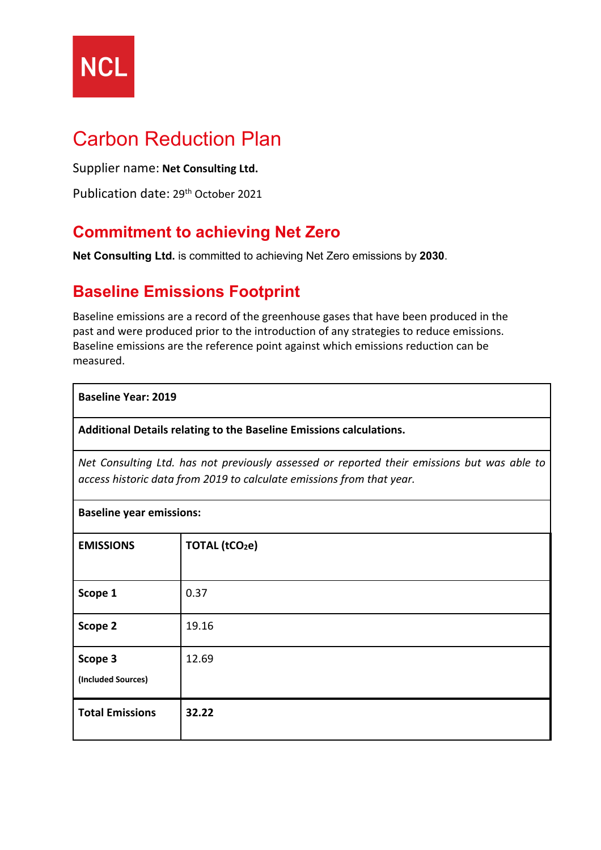

# Carbon Reduction Plan

Supplier name: **Net Consulting Ltd.**

Publication date: 29th October 2021

### **Commitment to achieving Net Zero**

**Net Consulting Ltd.** is committed to achieving Net Zero emissions by **2030**.

### **Baseline Emissions Footprint**

Baseline emissions are a record of the greenhouse gases that have been produced in the past and were produced prior to the introduction of any strategies to reduce emissions. Baseline emissions are the reference point against which emissions reduction can be measured.

#### **Baseline Year: 2019**

**Additional Details relating to the Baseline Emissions calculations.** 

*Net Consulting Ltd. has not previously assessed or reported their emissions but was able to access historic data from 2019 to calculate emissions from that year.*

| <b>Baseline year emissions:</b> |                      |  |
|---------------------------------|----------------------|--|
| <b>EMISSIONS</b>                | <b>TOTAL (tCO2e)</b> |  |
| Scope 1                         | 0.37                 |  |
| Scope 2                         | 19.16                |  |
| Scope 3<br>(Included Sources)   | 12.69                |  |
| <b>Total Emissions</b>          | 32.22                |  |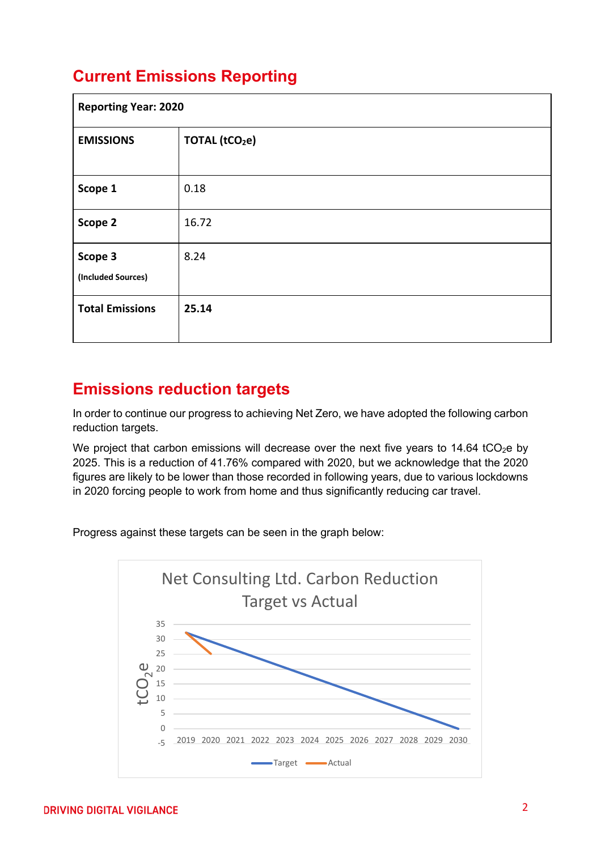## **Current Emissions Reporting**

| <b>Reporting Year: 2020</b>   |                            |  |
|-------------------------------|----------------------------|--|
| <b>EMISSIONS</b>              | TOTAL (tCO <sub>2</sub> e) |  |
| Scope 1                       | 0.18                       |  |
| Scope 2                       | 16.72                      |  |
| Scope 3<br>(Included Sources) | 8.24                       |  |
| <b>Total Emissions</b>        | 25.14                      |  |

### **Emissions reduction targets**

In order to continue our progress to achieving Net Zero, we have adopted the following carbon reduction targets.

We project that carbon emissions will decrease over the next five years to 14.64 tCO<sub>2</sub>e by 2025. This is a reduction of 41.76% compared with 2020, but we acknowledge that the 2020 figures are likely to be lower than those recorded in following years, due to various lockdowns in 2020 forcing people to work from home and thus significantly reducing car travel.

Progress against these targets can be seen in the graph below:

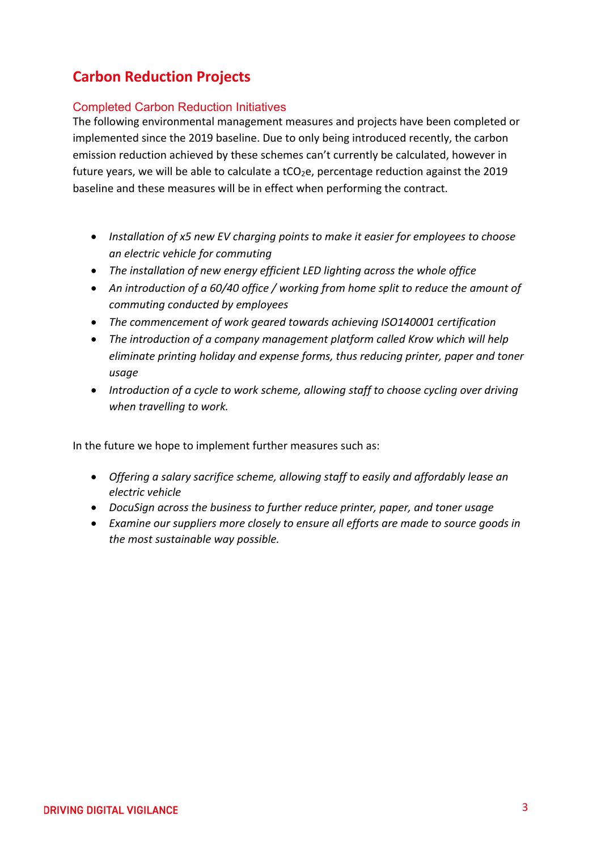#### **Carbon Reduction Projects**

#### Completed Carbon Reduction Initiatives

The following environmental management measures and projects have been completed or implemented since the 2019 baseline. Due to only being introduced recently, the carbon emission reduction achieved by these schemes can't currently be calculated, however in future years, we will be able to calculate a tCO<sub>2</sub>e, percentage reduction against the 2019 baseline and these measures will be in effect when performing the contract.

- *Installation of x5 new EV charging points to make it easier for employees to choose an electric vehicle for commuting*
- *The installation of new energy efficient LED lighting across the whole office*
- *An introduction of a 60/40 office / working from home split to reduce the amount of commuting conducted by employees*
- *The commencement of work geared towards achieving ISO140001 certification*
- *The introduction of a company management platform called Krow which will help eliminate printing holiday and expense forms, thus reducing printer, paper and toner usage*
- *Introduction of a cycle to work scheme, allowing staff to choose cycling over driving when travelling to work.*

In the future we hope to implement further measures such as:

- *Offering a salary sacrifice scheme, allowing staff to easily and affordably lease an electric vehicle*
- *DocuSign across the business to further reduce printer, paper, and toner usage*
- *Examine our suppliers more closely to ensure all efforts are made to source goods in the most sustainable way possible.*